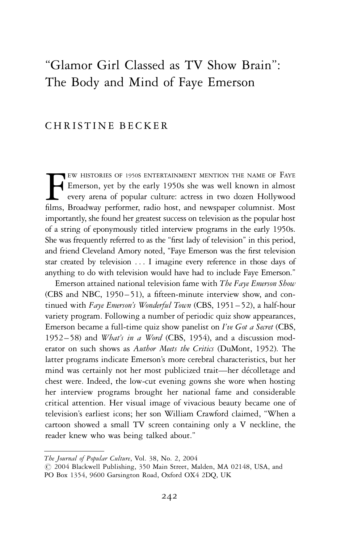# ''Glamor Girl Classed as TV Show Brain'': The Body and Mind of Faye Emerson

#### CHRISTINE BECKER

EW HISTORIES OF 1950S ENTERTAINMENT MENTION THE NAME OF FAYE Emerson, yet by the early 1950s she was well known in almost every arena of popular culture: actress in two dozen Hollywood films, Broadway performer, radio host Emerson, yet by the early 1950s she was well known in almost every arena of popular culture: actress in two dozen Hollywood films, Broadway performer, radio host, and newspaper columnist. Most importantly, she found her greatest success on television as the popular host of a string of eponymously titled interview programs in the early 1950s. She was frequently referred to as the "first lady of television" in this period, and friend Cleveland Amory noted, ''Faye Emerson was the first television star created by television . . . I imagine every reference in those days of anything to do with television would have had to include Faye Emerson.''

Emerson attained national television fame with The Faye Emerson Show (CBS and NBC, 1950–51), a fifteen-minute interview show, and continued with Faye Emerson's Wonderful Town (CBS, 1951–52), a half-hour variety program. Following a number of periodic quiz show appearances, Emerson became a full-time quiz show panelist on  $\Gamma$  ve Got a Secret (CBS, 1952–58) and *What's in a Word* (CBS, 1954), and a discussion moderator on such shows as Author Meets the Critics (DuMont, 1952). The latter programs indicate Emerson's more cerebral characteristics, but her mind was certainly not her most publicized trait—her décolletage and chest were. Indeed, the low-cut evening gowns she wore when hosting her interview programs brought her national fame and considerable critical attention. Her visual image of vivacious beauty became one of television's earliest icons; her son William Crawford claimed, ''When a cartoon showed a small TV screen containing only a V neckline, the reader knew who was being talked about.''

The Journal of Popular Culture, Vol. 38, No. 2, 2004

 $C$  2004 Blackwell Publishing, 350 Main Street, Malden, MA 02148, USA, and PO Box 1354, 9600 Garsington Road, Oxford OX4 2DQ, UK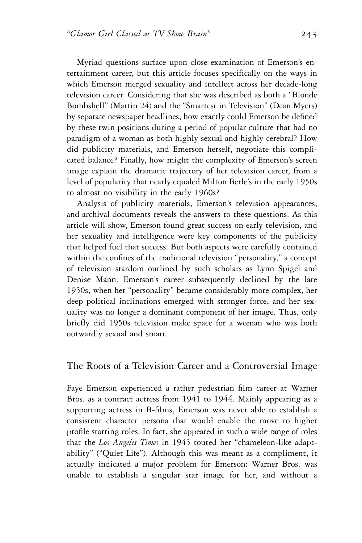Myriad questions surface upon close examination of Emerson's entertainment career, but this article focuses specifically on the ways in which Emerson merged sexuality and intellect across her decade-long television career. Considering that she was described as both a ''Blonde Bombshell'' (Martin 24) and the ''Smartest in Television'' (Dean Myers) by separate newspaper headlines, how exactly could Emerson be defined by these twin positions during a period of popular culture that had no paradigm of a woman as both highly sexual and highly cerebral? How did publicity materials, and Emerson herself, negotiate this complicated balance? Finally, how might the complexity of Emerson's screen image explain the dramatic trajectory of her television career, from a level of popularity that nearly equaled Milton Berle's in the early 1950s to almost no visibility in the early 1960s?

Analysis of publicity materials, Emerson's television appearances, and archival documents reveals the answers to these questions. As this article will show, Emerson found great success on early television, and her sexuality and intelligence were key components of the publicity that helped fuel that success. But both aspects were carefully contained within the confines of the traditional television "personality," a concept of television stardom outlined by such scholars as Lynn Spigel and Denise Mann. Emerson's career subsequently declined by the late 1950s, when her ''personality'' became considerably more complex, her deep political inclinations emerged with stronger force, and her sexuality was no longer a dominant component of her image. Thus, only briefly did 1950s television make space for a woman who was both outwardly sexual and smart.

## The Roots of a Television Career and a Controversial Image

Faye Emerson experienced a rather pedestrian film career at Warner Bros. as a contract actress from 1941 to 1944. Mainly appearing as a supporting actress in B-films, Emerson was never able to establish a consistent character persona that would enable the move to higher profile starring roles. In fact, she appeared in such a wide range of roles that the Los Angeles Times in 1945 touted her ''chameleon-like adaptability'' (''Quiet Life''). Although this was meant as a compliment, it actually indicated a major problem for Emerson: Warner Bros. was unable to establish a singular star image for her, and without a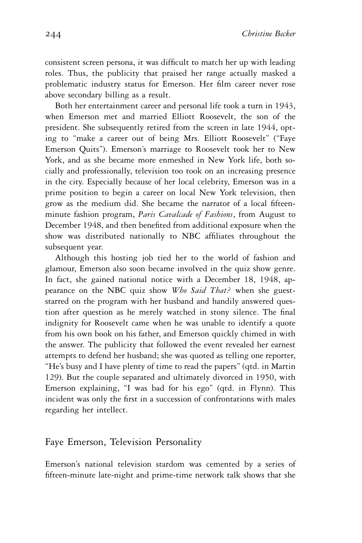consistent screen persona, it was difficult to match her up with leading roles. Thus, the publicity that praised her range actually masked a problematic industry status for Emerson. Her film career never rose above secondary billing as a result.

Both her entertainment career and personal life took a turn in 1943, when Emerson met and married Elliott Roosevelt, the son of the president. She subsequently retired from the screen in late 1944, opting to ''make a career out of being Mrs. Elliott Roosevelt'' (''Faye Emerson Quits''). Emerson's marriage to Roosevelt took her to New York, and as she became more enmeshed in New York life, both socially and professionally, television too took on an increasing presence in the city. Especially because of her local celebrity, Emerson was in a prime position to begin a career on local New York television, then grow as the medium did. She became the narrator of a local fifteenminute fashion program, Paris Cavalcade of Fashions, from August to December 1948, and then benefited from additional exposure when the show was distributed nationally to NBC affiliates throughout the subsequent year.

Although this hosting job tied her to the world of fashion and glamour, Emerson also soon became involved in the quiz show genre. In fact, she gained national notice with a December 18, 1948, appearance on the NBC quiz show Who Said That? when she gueststarred on the program with her husband and handily answered question after question as he merely watched in stony silence. The final indignity for Roosevelt came when he was unable to identify a quote from his own book on his father, and Emerson quickly chimed in with the answer. The publicity that followed the event revealed her earnest attempts to defend her husband; she was quoted as telling one reporter, ''He's busy and I have plenty of time to read the papers'' (qtd. in Martin 129). But the couple separated and ultimately divorced in 1950, with Emerson explaining, "I was bad for his ego" (qtd. in Flynn). This incident was only the first in a succession of confrontations with males regarding her intellect.

### Faye Emerson, Television Personality

Emerson's national television stardom was cemented by a series of fifteen-minute late-night and prime-time network talk shows that she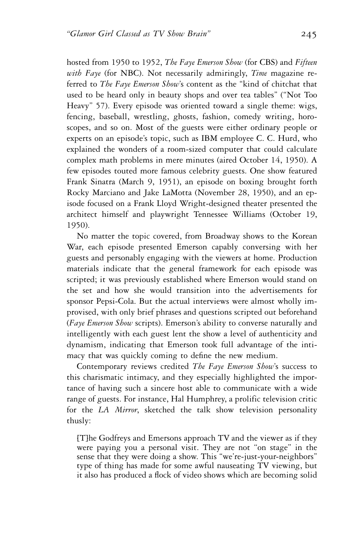hosted from 1950 to 1952, The Faye Emerson Show (for CBS) and Fifteen with Faye (for NBC). Not necessarily admiringly, Time magazine referred to The Faye Emerson Show's content as the "kind of chitchat that used to be heard only in beauty shops and over tea tables'' (''Not Too Heavy'' 57). Every episode was oriented toward a single theme: wigs, fencing, baseball, wrestling, ghosts, fashion, comedy writing, horoscopes, and so on. Most of the guests were either ordinary people or experts on an episode's topic, such as IBM employee C. C. Hurd, who explained the wonders of a room-sized computer that could calculate complex math problems in mere minutes (aired October 14, 1950). A few episodes touted more famous celebrity guests. One show featured Frank Sinatra (March 9, 1951), an episode on boxing brought forth Rocky Marciano and Jake LaMotta (November 28, 1950), and an episode focused on a Frank Lloyd Wright-designed theater presented the architect himself and playwright Tennessee Williams (October 19, 1950).

No matter the topic covered, from Broadway shows to the Korean War, each episode presented Emerson capably conversing with her guests and personably engaging with the viewers at home. Production materials indicate that the general framework for each episode was scripted; it was previously established where Emerson would stand on the set and how she would transition into the advertisements for sponsor Pepsi-Cola. But the actual interviews were almost wholly improvised, with only brief phrases and questions scripted out beforehand (Faye Emerson Show scripts). Emerson's ability to converse naturally and intelligently with each guest lent the show a level of authenticity and dynamism, indicating that Emerson took full advantage of the intimacy that was quickly coming to define the new medium.

Contemporary reviews credited The Faye Emerson Show's success to this charismatic intimacy, and they especially highlighted the importance of having such a sincere host able to communicate with a wide range of guests. For instance, Hal Humphrey, a prolific television critic for the LA Mirror, sketched the talk show television personality thusly:

[T]he Godfreys and Emersons approach TV and the viewer as if they were paying you a personal visit. They are not "on stage" in the sense that they were doing a show. This ''we're-just-your-neighbors'' type of thing has made for some awful nauseating TV viewing, but it also has produced a flock of video shows which are becoming solid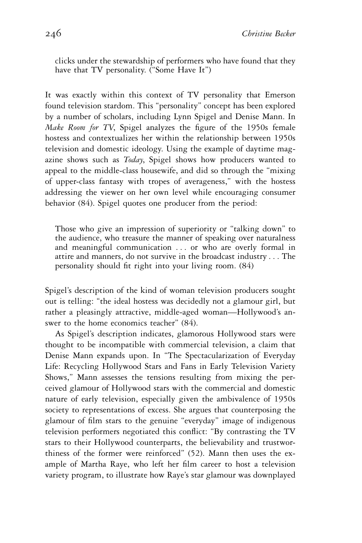clicks under the stewardship of performers who have found that they have that TV personality. ("Some Have It")

It was exactly within this context of TV personality that Emerson found television stardom. This ''personality'' concept has been explored by a number of scholars, including Lynn Spigel and Denise Mann. In Make Room for TV, Spigel analyzes the figure of the 1950s female hostess and contextualizes her within the relationship between 1950s television and domestic ideology. Using the example of daytime magazine shows such as *Today*, Spigel shows how producers wanted to appeal to the middle-class housewife, and did so through the ''mixing of upper-class fantasy with tropes of averageness,'' with the hostess addressing the viewer on her own level while encouraging consumer behavior (84). Spigel quotes one producer from the period:

Those who give an impression of superiority or "talking down" to the audience, who treasure the manner of speaking over naturalness and meaningful communication . . . or who are overly formal in attire and manners, do not survive in the broadcast industry . . . The personality should fit right into your living room. (84)

Spigel's description of the kind of woman television producers sought out is telling: ''the ideal hostess was decidedly not a glamour girl, but rather a pleasingly attractive, middle-aged woman—Hollywood's answer to the home economics teacher'' (84).

As Spigel's description indicates, glamorous Hollywood stars were thought to be incompatible with commercial television, a claim that Denise Mann expands upon. In ''The Spectacularization of Everyday Life: Recycling Hollywood Stars and Fans in Early Television Variety Shows,'' Mann assesses the tensions resulting from mixing the perceived glamour of Hollywood stars with the commercial and domestic nature of early television, especially given the ambivalence of 1950s society to representations of excess. She argues that counterposing the glamour of film stars to the genuine ''everyday'' image of indigenous television performers negotiated this conflict: ''By contrasting the TV stars to their Hollywood counterparts, the believability and trustworthiness of the former were reinforced'' (52). Mann then uses the example of Martha Raye, who left her film career to host a television variety program, to illustrate how Raye's star glamour was downplayed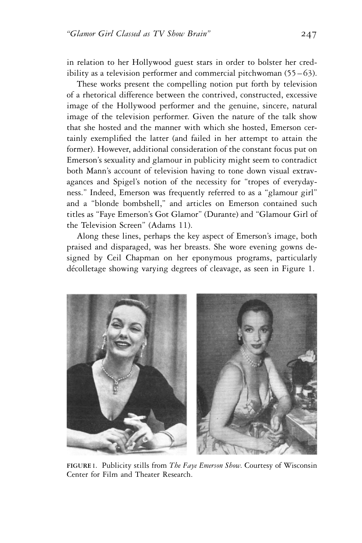in relation to her Hollywood guest stars in order to bolster her credibility as a television performer and commercial pitchwoman  $(55-63)$ .

These works present the compelling notion put forth by television of a rhetorical difference between the contrived, constructed, excessive image of the Hollywood performer and the genuine, sincere, natural image of the television performer. Given the nature of the talk show that she hosted and the manner with which she hosted, Emerson certainly exemplified the latter (and failed in her attempt to attain the former). However, additional consideration of the constant focus put on Emerson's sexuality and glamour in publicity might seem to contradict both Mann's account of television having to tone down visual extravagances and Spigel's notion of the necessity for ''tropes of everydayness.'' Indeed, Emerson was frequently referred to as a ''glamour girl'' and a ''blonde bombshell,'' and articles on Emerson contained such titles as ''Faye Emerson's Got Glamor'' (Durante) and ''Glamour Girl of the Television Screen'' (Adams 11).

Along these lines, perhaps the key aspect of Emerson's image, both praised and disparaged, was her breasts. She wore evening gowns designed by Ceil Chapman on her eponymous programs, particularly décolletage showing varying degrees of cleavage, as seen in Figure 1.



FIGURE 1. Publicity stills from *The Faye Emerson Show*. Courtesy of Wisconsin Center for Film and Theater Research.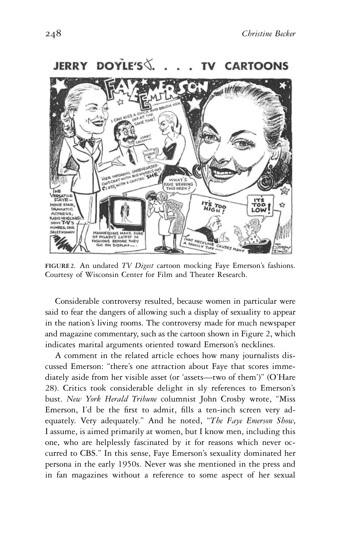

JERRY DOYLE'S **CARTOONS** 

FIGURE 2. An undated TV Digest cartoon mocking Faye Emerson's fashions. Courtesy of Wisconsin Center for Film and Theater Research.

Considerable controversy resulted, because women in particular were said to fear the dangers of allowing such a display of sexuality to appear in the nation's living rooms. The controversy made for much newspaper and magazine commentary, such as the cartoon shown in Figure 2, which indicates marital arguments oriented toward Emerson's necklines.

A comment in the related article echoes how many journalists discussed Emerson: ''there's one attraction about Faye that scores immediately aside from her visible asset (or 'assets—two of them')'' (O'Hare 28). Critics took considerable delight in sly references to Emerson's bust. New York Herald Tribune columnist John Crosby wrote, ''Miss Emerson, I'd be the first to admit, fills a ten-inch screen very adequately. Very adequately." And he noted, "The Faye Emerson Show, I assume, is aimed primarily at women, but I know men, including this one, who are helplessly fascinated by it for reasons which never occurred to CBS.'' In this sense, Faye Emerson's sexuality dominated her persona in the early 1950s. Never was she mentioned in the press and in fan magazines without a reference to some aspect of her sexual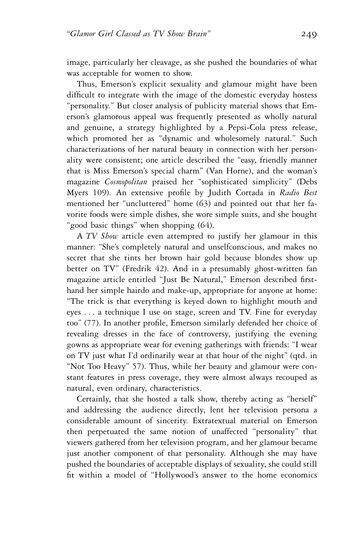image, particularly her cleavage, as she pushed the boundaries of what was acceptable for women to show.

Thus, Emerson's explicit sexuality and glamour might have been difficult to integrate with the image of the domestic everyday hostess "personality." But closer analysis of publicity material shows that Emerson's glamorous appeal was frequently presented as wholly natural and genuine, a strategy highlighted by a Pepsi-Cola press release, which promoted her as "dynamic and wholesomely natural." Such characterizations of her natural beauty in connection with her personality were consistent; one article described the ''easy, friendly manner that is Miss Emerson's special charm'' (Van Horne), and the woman's magazine Cosmopolitan praised her ''sophisticated simplicity'' (Debs Myers 109). An extensive profile by Judith Cortada in Radio Best mentioned her "uncluttered" home (63) and pointed out that her favorite foods were simple dishes, she wore simple suits, and she bought "good basic things" when shopping (64).

A TV Show article even attempted to justify her glamour in this manner: "She's completely natural and unselfconscious, and makes no secret that she tints her brown hair gold because blondes show up better on TV'' (Fredrik 42). And in a presumably ghost-written fan magazine article entitled ''Just Be Natural,'' Emerson described firsthand her simple hairdo and make-up, appropriate for anyone at home: ''The trick is that everything is keyed down to highlight mouth and eyes . . . a technique I use on stage, screen and TV. Fine for everyday too'' (77). In another profile, Emerson similarly defended her choice of revealing dresses in the face of controversy, justifying the evening gowns as appropriate wear for evening gatherings with friends: ''I wear on TV just what I'd ordinarily wear at that hour of the night'' (qtd. in "Not Too Heavy" 57). Thus, while her beauty and glamour were constant features in press coverage, they were almost always recouped as natural, even ordinary, characteristics.

Certainly, that she hosted a talk show, thereby acting as ''herself'' and addressing the audience directly, lent her television persona a considerable amount of sincerity. Extratextual material on Emerson then perpetuated the same notion of unaffected ''personality'' that viewers gathered from her television program, and her glamour became just another component of that personality. Although she may have pushed the boundaries of acceptable displays of sexuality, she could still fit within a model of ''Hollywood's answer to the home economics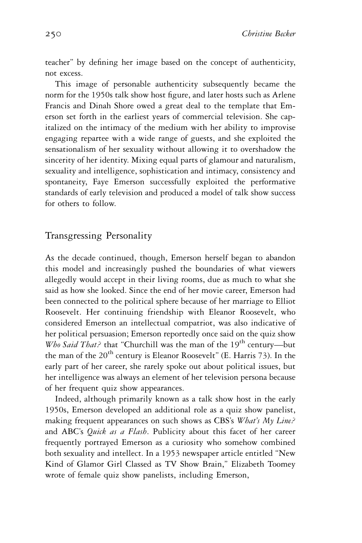teacher'' by defining her image based on the concept of authenticity, not excess.

This image of personable authenticity subsequently became the norm for the 1950s talk show host figure, and later hosts such as Arlene Francis and Dinah Shore owed a great deal to the template that Emerson set forth in the earliest years of commercial television. She capitalized on the intimacy of the medium with her ability to improvise engaging repartee with a wide range of guests, and she exploited the sensationalism of her sexuality without allowing it to overshadow the sincerity of her identity. Mixing equal parts of glamour and naturalism, sexuality and intelligence, sophistication and intimacy, consistency and spontaneity, Faye Emerson successfully exploited the performative standards of early television and produced a model of talk show success for others to follow.

#### Transgressing Personality

As the decade continued, though, Emerson herself began to abandon this model and increasingly pushed the boundaries of what viewers allegedly would accept in their living rooms, due as much to what she said as how she looked. Since the end of her movie career, Emerson had been connected to the political sphere because of her marriage to Elliot Roosevelt. Her continuing friendship with Eleanor Roosevelt, who considered Emerson an intellectual compatriot, was also indicative of her political persuasion; Emerson reportedly once said on the quiz show Who Said That? that "Churchill was the man of the  $19<sup>th</sup>$  century—but the man of the  $20^{th}$  century is Eleanor Roosevelt" (E. Harris 73). In the early part of her career, she rarely spoke out about political issues, but her intelligence was always an element of her television persona because of her frequent quiz show appearances.

Indeed, although primarily known as a talk show host in the early 1950s, Emerson developed an additional role as a quiz show panelist, making frequent appearances on such shows as CBS's What's My Line? and ABC's *Quick as a Flash*. Publicity about this facet of her career frequently portrayed Emerson as a curiosity who somehow combined both sexuality and intellect. In a 1953 newspaper article entitled ''New Kind of Glamor Girl Classed as TV Show Brain,'' Elizabeth Toomey wrote of female quiz show panelists, including Emerson,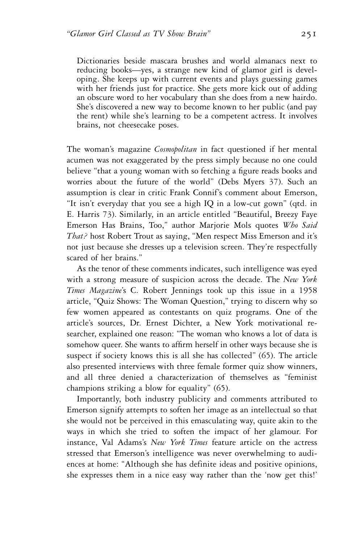Dictionaries beside mascara brushes and world almanacs next to reducing books—yes, a strange new kind of glamor girl is developing. She keeps up with current events and plays guessing games with her friends just for practice. She gets more kick out of adding an obscure word to her vocabulary than she does from a new hairdo. She's discovered a new way to become known to her public (and pay the rent) while she's learning to be a competent actress. It involves brains, not cheesecake poses.

The woman's magazine *Cosmopolitan* in fact questioned if her mental acumen was not exaggerated by the press simply because no one could believe ''that a young woman with so fetching a figure reads books and worries about the future of the world'' (Debs Myers 37). Such an assumption is clear in critic Frank Connif's comment about Emerson, "It isn't everyday that you see a high IQ in a low-cut gown" (qtd. in E. Harris 73). Similarly, in an article entitled ''Beautiful, Breezy Faye Emerson Has Brains, Too," author Marjorie Mols quotes Who Said That? host Robert Trout as saying, "Men respect Miss Emerson and it's not just because she dresses up a television screen. They're respectfully scared of her brains.''

As the tenor of these comments indicates, such intelligence was eyed with a strong measure of suspicion across the decade. The New York Times Magazine's C. Robert Jennings took up this issue in a 1958 article, "Quiz Shows: The Woman Question," trying to discern why so few women appeared as contestants on quiz programs. One of the article's sources, Dr. Ernest Dichter, a New York motivational researcher, explained one reason: ''The woman who knows a lot of data is somehow queer. She wants to affirm herself in other ways because she is suspect if society knows this is all she has collected'' (65). The article also presented interviews with three female former quiz show winners, and all three denied a characterization of themselves as ''feminist champions striking a blow for equality'' (65).

Importantly, both industry publicity and comments attributed to Emerson signify attempts to soften her image as an intellectual so that she would not be perceived in this emasculating way, quite akin to the ways in which she tried to soften the impact of her glamour. For instance, Val Adams's New York Times feature article on the actress stressed that Emerson's intelligence was never overwhelming to audiences at home: ''Although she has definite ideas and positive opinions, she expresses them in a nice easy way rather than the 'now get this!'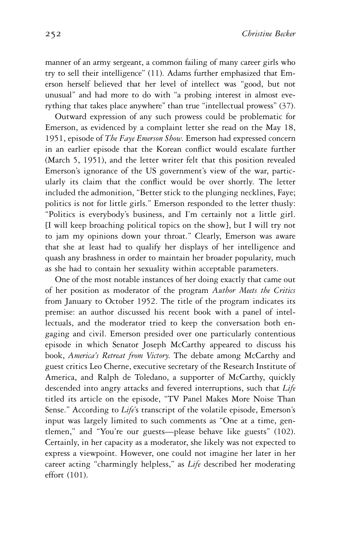manner of an army sergeant, a common failing of many career girls who try to sell their intelligence'' (11). Adams further emphasized that Emerson herself believed that her level of intellect was ''good, but not unusual'' and had more to do with ''a probing interest in almost everything that takes place anywhere'' than true ''intellectual prowess'' (37).

Outward expression of any such prowess could be problematic for Emerson, as evidenced by a complaint letter she read on the May 18, 1951, episode of The Faye Emerson Show. Emerson had expressed concern in an earlier episode that the Korean conflict would escalate further (March 5, 1951), and the letter writer felt that this position revealed Emerson's ignorance of the US government's view of the war, particularly its claim that the conflict would be over shortly. The letter included the admonition, ''Better stick to the plunging necklines, Faye; politics is not for little girls.'' Emerson responded to the letter thusly: ''Politics is everybody's business, and I'm certainly not a little girl. [I will keep broaching political topics on the show], but I will try not to jam my opinions down your throat.'' Clearly, Emerson was aware that she at least had to qualify her displays of her intelligence and quash any brashness in order to maintain her broader popularity, much as she had to contain her sexuality within acceptable parameters.

One of the most notable instances of her doing exactly that came out of her position as moderator of the program Author Meets the Critics from January to October 1952. The title of the program indicates its premise: an author discussed his recent book with a panel of intellectuals, and the moderator tried to keep the conversation both engaging and civil. Emerson presided over one particularly contentious episode in which Senator Joseph McCarthy appeared to discuss his book, America's Retreat from Victory. The debate among McCarthy and guest critics Leo Cherne, executive secretary of the Research Institute of America, and Ralph de Toledano, a supporter of McCarthy, quickly descended into angry attacks and fevered interruptions, such that Life titled its article on the episode, ''TV Panel Makes More Noise Than Sense." According to Life's transcript of the volatile episode, Emerson's input was largely limited to such comments as ''One at a time, gentlemen,'' and ''You're our guests—please behave like guests'' (102). Certainly, in her capacity as a moderator, she likely was not expected to express a viewpoint. However, one could not imagine her later in her career acting "charmingly helpless," as Life described her moderating effort (101).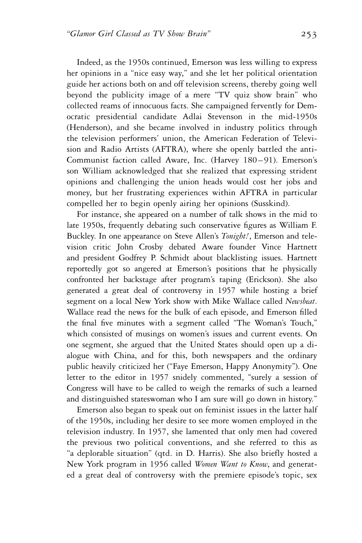Indeed, as the 1950s continued, Emerson was less willing to express her opinions in a ''nice easy way,'' and she let her political orientation guide her actions both on and off television screens, thereby going well beyond the publicity image of a mere ''TV quiz show brain'' who collected reams of innocuous facts. She campaigned fervently for Democratic presidential candidate Adlai Stevenson in the mid-1950s (Henderson), and she became involved in industry politics through the television performers' union, the American Federation of Television and Radio Artists (AFTRA), where she openly battled the anti-Communist faction called Aware, Inc. (Harvey 180 – 91). Emerson's son William acknowledged that she realized that expressing strident opinions and challenging the union heads would cost her jobs and money, but her frustrating experiences within AFTRA in particular compelled her to begin openly airing her opinions (Susskind).

For instance, she appeared on a number of talk shows in the mid to late 1950s, frequently debating such conservative figures as William F. Buckley. In one appearance on Steve Allen's Tonight!, Emerson and television critic John Crosby debated Aware founder Vince Hartnett and president Godfrey P. Schmidt about blacklisting issues. Hartnett reportedly got so angered at Emerson's positions that he physically confronted her backstage after program's taping (Erickson). She also generated a great deal of controversy in 1957 while hosting a brief segment on a local New York show with Mike Wallace called Newsbeat. Wallace read the news for the bulk of each episode, and Emerson filled the final five minutes with a segment called ''The Woman's Touch,'' which consisted of musings on women's issues and current events. On one segment, she argued that the United States should open up a dialogue with China, and for this, both newspapers and the ordinary public heavily criticized her (''Faye Emerson, Happy Anonymity''). One letter to the editor in 1957 snidely commented, ''surely a session of Congress will have to be called to weigh the remarks of such a learned and distinguished stateswoman who I am sure will go down in history.''

Emerson also began to speak out on feminist issues in the latter half of the 1950s, including her desire to see more women employed in the television industry. In 1957, she lamented that only men had covered the previous two political conventions, and she referred to this as "a deplorable situation" (qtd. in D. Harris). She also briefly hosted a New York program in 1956 called Women Want to Know, and generated a great deal of controversy with the premiere episode's topic, sex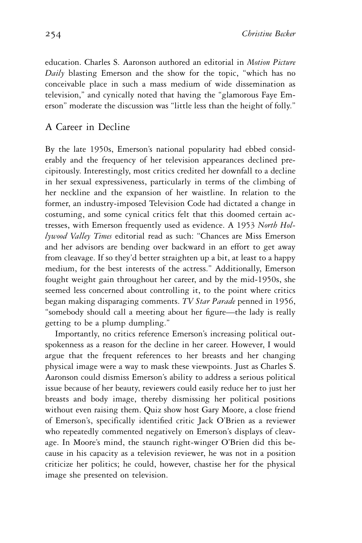education. Charles S. Aaronson authored an editorial in Motion Picture Daily blasting Emerson and the show for the topic, "which has no conceivable place in such a mass medium of wide dissemination as television,'' and cynically noted that having the ''glamorous Faye Emerson'' moderate the discussion was ''little less than the height of folly.''

#### A Career in Decline

By the late 1950s, Emerson's national popularity had ebbed considerably and the frequency of her television appearances declined precipitously. Interestingly, most critics credited her downfall to a decline in her sexual expressiveness, particularly in terms of the climbing of her neckline and the expansion of her waistline. In relation to the former, an industry-imposed Television Code had dictated a change in costuming, and some cynical critics felt that this doomed certain actresses, with Emerson frequently used as evidence. A 1953 North Hollywood Valley Times editorial read as such: ''Chances are Miss Emerson and her advisors are bending over backward in an effort to get away from cleavage. If so they'd better straighten up a bit, at least to a happy medium, for the best interests of the actress.'' Additionally, Emerson fought weight gain throughout her career, and by the mid-1950s, she seemed less concerned about controlling it, to the point where critics began making disparaging comments. TV Star Parade penned in 1956, ''somebody should call a meeting about her figure—the lady is really getting to be a plump dumpling.''

Importantly, no critics reference Emerson's increasing political outspokenness as a reason for the decline in her career. However, I would argue that the frequent references to her breasts and her changing physical image were a way to mask these viewpoints. Just as Charles S. Aaronson could dismiss Emerson's ability to address a serious political issue because of her beauty, reviewers could easily reduce her to just her breasts and body image, thereby dismissing her political positions without even raising them. Quiz show host Gary Moore, a close friend of Emerson's, specifically identified critic Jack O'Brien as a reviewer who repeatedly commented negatively on Emerson's displays of cleavage. In Moore's mind, the staunch right-winger O'Brien did this because in his capacity as a television reviewer, he was not in a position criticize her politics; he could, however, chastise her for the physical image she presented on television.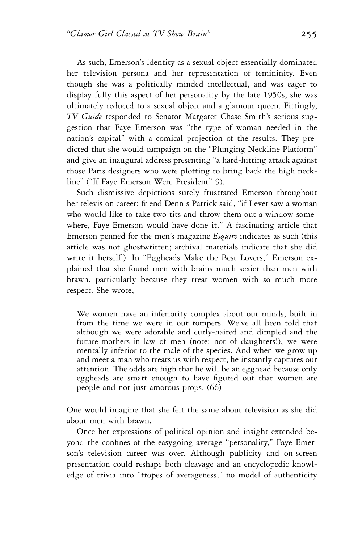As such, Emerson's identity as a sexual object essentially dominated her television persona and her representation of femininity. Even though she was a politically minded intellectual, and was eager to display fully this aspect of her personality by the late 1950s, she was ultimately reduced to a sexual object and a glamour queen. Fittingly, TV Guide responded to Senator Margaret Chase Smith's serious suggestion that Faye Emerson was ''the type of woman needed in the nation's capital'' with a comical projection of the results. They predicted that she would campaign on the ''Plunging Neckline Platform'' and give an inaugural address presenting ''a hard-hitting attack against those Paris designers who were plotting to bring back the high neckline'' (''If Faye Emerson Were President'' 9).

Such dismissive depictions surely frustrated Emerson throughout her television career; friend Dennis Patrick said, ''if I ever saw a woman who would like to take two tits and throw them out a window somewhere, Faye Emerson would have done it.'' A fascinating article that Emerson penned for the men's magazine *Esquire* indicates as such (this article was not ghostwritten; archival materials indicate that she did write it herself). In "Eggheads Make the Best Lovers," Emerson explained that she found men with brains much sexier than men with brawn, particularly because they treat women with so much more respect. She wrote,

We women have an inferiority complex about our minds, built in from the time we were in our rompers. We've all been told that although we were adorable and curly-haired and dimpled and the future-mothers-in-law of men (note: not of daughters!), we were mentally inferior to the male of the species. And when we grow up and meet a man who treats us with respect, he instantly captures our attention. The odds are high that he will be an egghead because only eggheads are smart enough to have figured out that women are people and not just amorous props. (66)

One would imagine that she felt the same about television as she did about men with brawn.

Once her expressions of political opinion and insight extended beyond the confines of the easygoing average ''personality,'' Faye Emerson's television career was over. Although publicity and on-screen presentation could reshape both cleavage and an encyclopedic knowledge of trivia into "tropes of averageness," no model of authenticity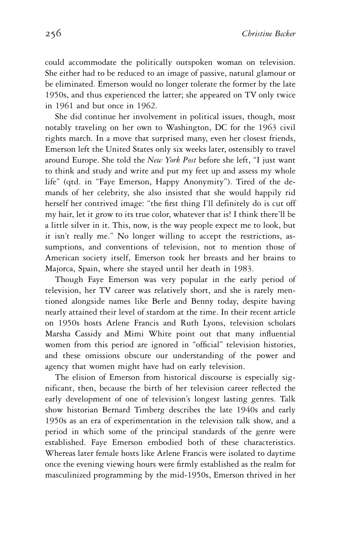could accommodate the politically outspoken woman on television. She either had to be reduced to an image of passive, natural glamour or be eliminated. Emerson would no longer tolerate the former by the late 1950s, and thus experienced the latter; she appeared on TV only twice in 1961 and but once in 1962.

She did continue her involvement in political issues, though, most notably traveling on her own to Washington, DC for the 1963 civil rights march. In a move that surprised many, even her closest friends, Emerson left the United States only six weeks later, ostensibly to travel around Europe. She told the New York Post before she left, "I just want to think and study and write and put my feet up and assess my whole life" (qtd. in "Faye Emerson, Happy Anonymity"). Tired of the demands of her celebrity, she also insisted that she would happily rid herself her contrived image: ''the first thing I'll definitely do is cut off my hair, let it grow to its true color, whatever that is! I think there'll be a little silver in it. This, now, is the way people expect me to look, but it isn't really me.'' No longer willing to accept the restrictions, assumptions, and conventions of television, not to mention those of American society itself, Emerson took her breasts and her brains to Majorca, Spain, where she stayed until her death in 1983.

Though Faye Emerson was very popular in the early period of television, her TV career was relatively short, and she is rarely mentioned alongside names like Berle and Benny today, despite having nearly attained their level of stardom at the time. In their recent article on 1950s hosts Arlene Francis and Ruth Lyons, television scholars Marsha Cassidy and Mimi White point out that many influential women from this period are ignored in "official" television histories, and these omissions obscure our understanding of the power and agency that women might have had on early television.

The elision of Emerson from historical discourse is especially significant, then, because the birth of her television career reflected the early development of one of television's longest lasting genres. Talk show historian Bernard Timberg describes the late 1940s and early 1950s as an era of experimentation in the television talk show, and a period in which some of the principal standards of the genre were established. Faye Emerson embodied both of these characteristics. Whereas later female hosts like Arlene Francis were isolated to daytime once the evening viewing hours were firmly established as the realm for masculinized programming by the mid-1950s, Emerson thrived in her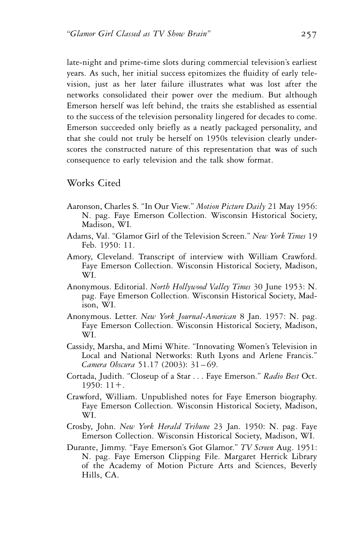late-night and prime-time slots during commercial television's earliest years. As such, her initial success epitomizes the fluidity of early television, just as her later failure illustrates what was lost after the networks consolidated their power over the medium. But although Emerson herself was left behind, the traits she established as essential to the success of the television personality lingered for decades to come. Emerson succeeded only briefly as a neatly packaged personality, and that she could not truly be herself on 1950s television clearly underscores the constructed nature of this representation that was of such consequence to early television and the talk show format.

#### Works Cited

- Aaronson, Charles S. "In Our View." Motion Picture Daily 21 May 1956: N. pag. Faye Emerson Collection. Wisconsin Historical Society, Madison, WI.
- Adams, Val. "Glamor Girl of the Television Screen." New York Times 19 Feb. 1950: 11.
- Amory, Cleveland. Transcript of interview with William Crawford. Faye Emerson Collection. Wisconsin Historical Society, Madison, WI.
- Anonymous. Editorial. North Hollywood Valley Times 30 June 1953: N. pag. Faye Emerson Collection. Wisconsin Historical Society, Madison, WI.
- Anonymous. Letter. New York Journal-American 8 Jan. 1957: N. pag. Faye Emerson Collection. Wisconsin Historical Society, Madison, WI.
- Cassidy, Marsha, and Mimi White. ''Innovating Women's Television in Local and National Networks: Ruth Lyons and Arlene Francis.'' Camera Obscura 51.17 (2003): 31 – 69.
- Cortada, Judith. "Closeup of a Star . . . Faye Emerson." Radio Best Oct.  $1950: 11+.$
- Crawford, William. Unpublished notes for Faye Emerson biography. Faye Emerson Collection. Wisconsin Historical Society, Madison, WI.
- Crosby, John. New York Herald Tribune 23 Jan. 1950: N. pag. Faye Emerson Collection. Wisconsin Historical Society, Madison, WI.
- Durante, Jimmy. "Faye Emerson's Got Glamor." TV Screen Aug. 1951: N. pag. Faye Emerson Clipping File. Margaret Herrick Library of the Academy of Motion Picture Arts and Sciences, Beverly Hills, CA.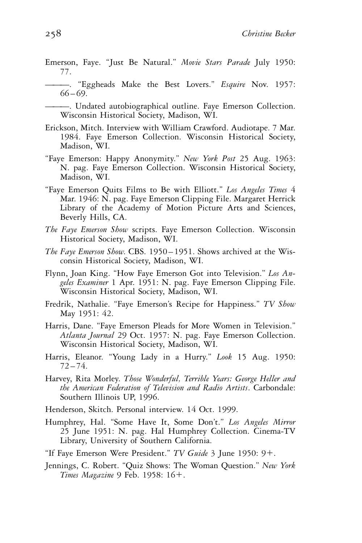- Emerson, Faye. "Just Be Natural." Movie Stars Parade July 1950: 77.
- --------. "Eggheads Make the Best Lovers." Esquire Nov. 1957:  $66 - 69.$ 
	- ———. Undated autobiographical outline. Faye Emerson Collection. Wisconsin Historical Society, Madison, WI.
- Erickson, Mitch. Interview with William Crawford. Audiotape. 7 Mar. 1984. Faye Emerson Collection. Wisconsin Historical Society, Madison, WI.
- "Faye Emerson: Happy Anonymity." New York Post 25 Aug. 1963: N. pag. Faye Emerson Collection. Wisconsin Historical Society, Madison, WI.
- "Faye Emerson Quits Films to Be with Elliott." Los Angeles Times 4 Mar. 1946: N. pag. Faye Emerson Clipping File. Margaret Herrick Library of the Academy of Motion Picture Arts and Sciences, Beverly Hills, CA.
- The Faye Emerson Show scripts. Faye Emerson Collection. Wisconsin Historical Society, Madison, WI.
- The Faye Emerson Show. CBS. 1950–1951. Shows archived at the Wisconsin Historical Society, Madison, WI.
- Flynn, Joan King. "How Faye Emerson Got into Television." Los Angeles Examiner 1 Apr. 1951: N. pag. Faye Emerson Clipping File. Wisconsin Historical Society, Madison, WI.
- Fredrik, Nathalie. "Faye Emerson's Recipe for Happiness." TV Show May 1951: 42.
- Harris, Dane. ''Faye Emerson Pleads for More Women in Television.'' Atlanta Journal 29 Oct. 1957: N. pag. Faye Emerson Collection. Wisconsin Historical Society, Madison, WI.
- Harris, Eleanor. "Young Lady in a Hurry." Look 15 Aug. 1950:  $72 - 74.$
- Harvey, Rita Morley. Those Wonderful, Terrible Years: George Heller and the American Federation of Television and Radio Artists. Carbondale: Southern Illinois UP, 1996.
- Henderson, Skitch. Personal interview. 14 Oct. 1999.
- Humphrey, Hal. "Some Have It, Some Don't." Los Angeles Mirror 25 June 1951: N. pag. Hal Humphrey Collection. Cinema-TV Library, University of Southern California.
- "If Faye Emerson Were President." TV Guide 3 June 1950: 9+.
- Jennings, C. Robert. "Quiz Shows: The Woman Question." New York Times Magazine 9 Feb. 1958: 16+.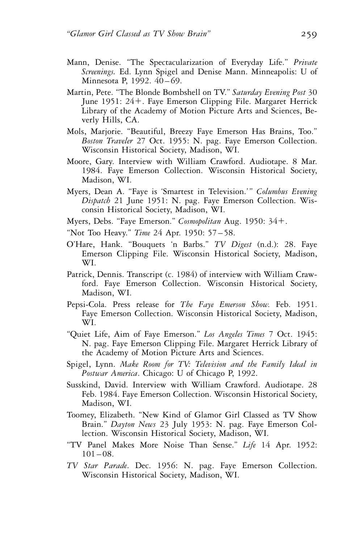- Mann, Denise. "The Spectacularization of Everyday Life." *Private* Screenings. Ed. Lynn Spigel and Denise Mann. Minneapolis: U of Minnesota P, 1992. 40-69.
- Martin, Pete. "The Blonde Bombshell on TV." Saturday Evening Post 30 June 1951: 24+. Faye Emerson Clipping File. Margaret Herrick Library of the Academy of Motion Picture Arts and Sciences, Beverly Hills, CA.
- Mols, Marjorie. ''Beautiful, Breezy Faye Emerson Has Brains, Too.'' Boston Traveler 27 Oct. 1955: N. pag. Faye Emerson Collection. Wisconsin Historical Society, Madison, WI.
- Moore, Gary. Interview with William Crawford. Audiotape. 8 Mar. 1984. Faye Emerson Collection. Wisconsin Historical Society, Madison, WI.
- Myers, Dean A. "Faye is 'Smartest in Television.'" Columbus Evening Dispatch 21 June 1951: N. pag. Faye Emerson Collection. Wisconsin Historical Society, Madison, WI.
- Myers, Debs. "Faye Emerson." Cosmopolitan Aug. 1950: 34+.
- "Not Too Heavy." Time 24 Apr. 1950: 57–58.
- O'Hare, Hank. ''Bouquets 'n Barbs.'' TV Digest (n.d.): 28. Faye Emerson Clipping File. Wisconsin Historical Society, Madison, WI.
- Patrick, Dennis. Transcript (c. 1984) of interview with William Crawford. Faye Emerson Collection. Wisconsin Historical Society, Madison, WI.
- Pepsi-Cola. Press release for The Faye Emerson Show. Feb. 1951. Faye Emerson Collection. Wisconsin Historical Society, Madison, WI.
- "Quiet Life, Aim of Faye Emerson." Los Angeles Times 7 Oct. 1945: N. pag. Faye Emerson Clipping File. Margaret Herrick Library of the Academy of Motion Picture Arts and Sciences.
- Spigel, Lynn. Make Room for TV: Television and the Family Ideal in Postwar America. Chicago: U of Chicago P, 1992.
- Susskind, David. Interview with William Crawford. Audiotape. 28 Feb. 1984. Faye Emerson Collection. Wisconsin Historical Society, Madison, WI.
- Toomey, Elizabeth. ''New Kind of Glamor Girl Classed as TV Show Brain." Dayton News 23 July 1953: N. pag. Faye Emerson Collection. Wisconsin Historical Society, Madison, WI.
- "TV Panel Makes More Noise Than Sense." Life 14 Apr. 1952:  $101 - 08.$
- TV Star Parade. Dec. 1956: N. pag. Faye Emerson Collection. Wisconsin Historical Society, Madison, WI.